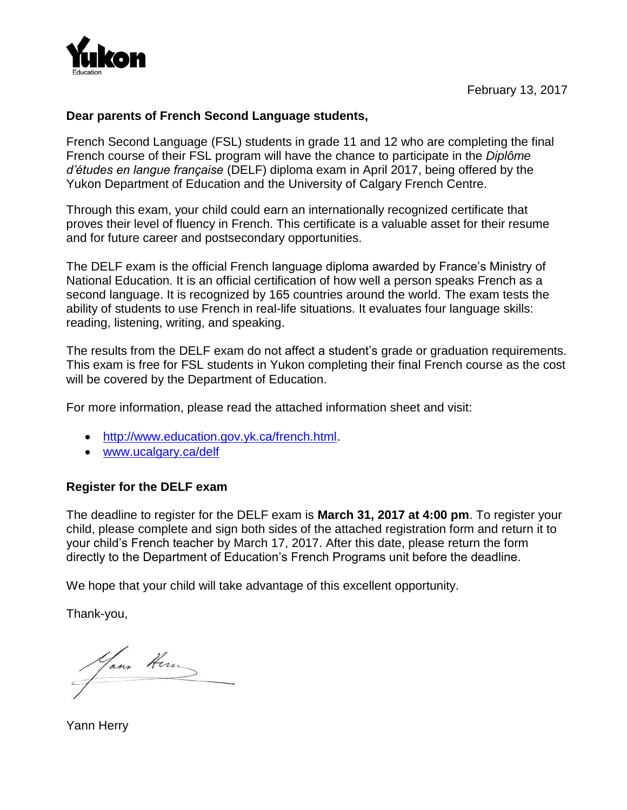

#### **Dear parents of French Second Language students,**

French Second Language (FSL) students in grade 11 and 12 who are completing the final French course of their FSL program will have the chance to participate in the *Diplôme d'études en langue française* (DELF) diploma exam in April 2017, being offered by the Yukon Department of Education and the University of Calgary French Centre.

Through this exam, your child could earn an internationally recognized certificate that proves their level of fluency in French. This certificate is a valuable asset for their resume and for future career and postsecondary opportunities.

The DELF exam is the official French language diploma awarded by France's Ministry of National Education. It is an official certification of how well a person speaks French as a second language. It is recognized by 165 countries around the world. The exam tests the ability of students to use French in real-life situations. It evaluates four language skills: reading, listening, writing, and speaking.

The results from the DELF exam do not affect a student's grade or graduation requirements. This exam is free for FSL students in Yukon completing their final French course as the cost will be covered by the Department of Education.

For more information, please read the attached information sheet and visit:

- [http://www.education.gov.yk.ca/french.html.](http://www.education.gov.yk.ca/french.html)
- www.ucalgary.ca/delf

### **Register for the DELF exam**

The deadline to register for the DELF exam is **March 31, 2017 at 4:00 pm**. To register your child, please complete and sign both sides of the attached registration form and return it to your child's French teacher by March 17, 2017. After this date, please return the form directly to the Department of Education's French Programs unit before the deadline.

We hope that your child will take advantage of this excellent opportunity.

Thank-you,

Yann Hern

Yann Herry